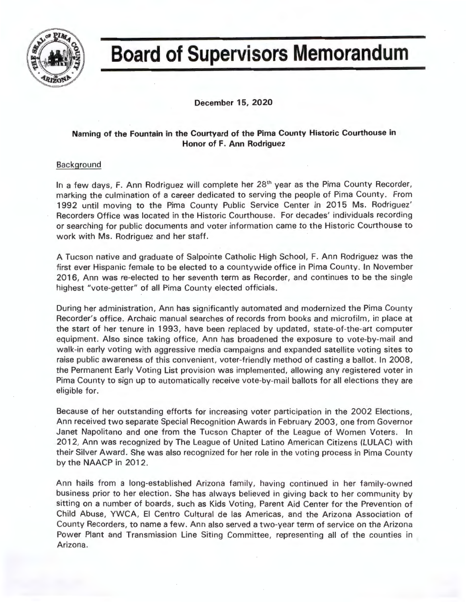

## **Board of Supervisors Memorandum**

**December 15, 2020** 

## **Naming of the Fountain in the Courtyard of the Pima County Historic Courthouse in Honor of F. Ann Rodriguez**

## **Background**

In a few days, F. Ann Rodriguez will complete her 28<sup>th</sup> year as the Pima County Recorder, marking the culmination of a career dedicated to serving the people of Pima County. From 1992 until moving to the Pima County Public Service Center in 2015 Ms . Rodriguez' Recorders Office was located in the Historic Courthouse. For decades' individuals recording or searching for public documents and voter information came to the Historic Courthouse to work with Ms. Rodriguez and her staff.

A Tucson native and graduate of Salpointe Catholic High School , F. Ann Rodriguez was the first ever Hispanic female to be elected to a countywide office in Pima County. In November 2016, Ann was re-elected to her seventh term as Recorder, and continues to be the single highest "vote-getter" of all Pima County elected officials.

During her administration, Ann has significantly automated and modernized the Pima County Recorder's office. Archaic manual searches of records from books and microfilm, in place at the start of her tenure in 1993, have been replaced by updated, state-of-the-art computer equipment. Also since taking office, Ann has broadened the exposure to vote-by-mail and walk-in early voting with aggressive media campaigns and expanded satellite voting sites to raise public awareness of this convenient, voter-friendly method of casting a ballot. In 2008, the Permanent Early Voting List provision was implemented, allowing any registered voter in Pima County to sign up to automatically receive vote-by-mail ballots for all elections they are eligible for.

Because of her outstanding efforts for increasing voter participation in the 2002 Elections, Ann received two separate Special Recognition Awards in February 2003, one from Governor Janet Napolitano and one from the Tucson Chapter of the League of Women Voters. In 2012, Ann was recognized by The League of United Latino American Citizens (LULAC) with their Silver Award. She was also recognized for her role in the voting process in Pima County by the **NAACP** in 2012.

Ann hails from a long-established Arizona family, having continued in her family-owned business prior to her election. She has always believed in giving back to her community by sitting on a number of boards, such as Kids Voting, Parent Aid Center for the Prevention of Child Abuse, YWCA, El Centro Cultural de las Americas, and the Arizona Association of County Recorders, to name a few. Ann also served a two-year term of service on the Arizona Power Plant and Transmission Line Siting Committee, representing all of the counties in Arizona.